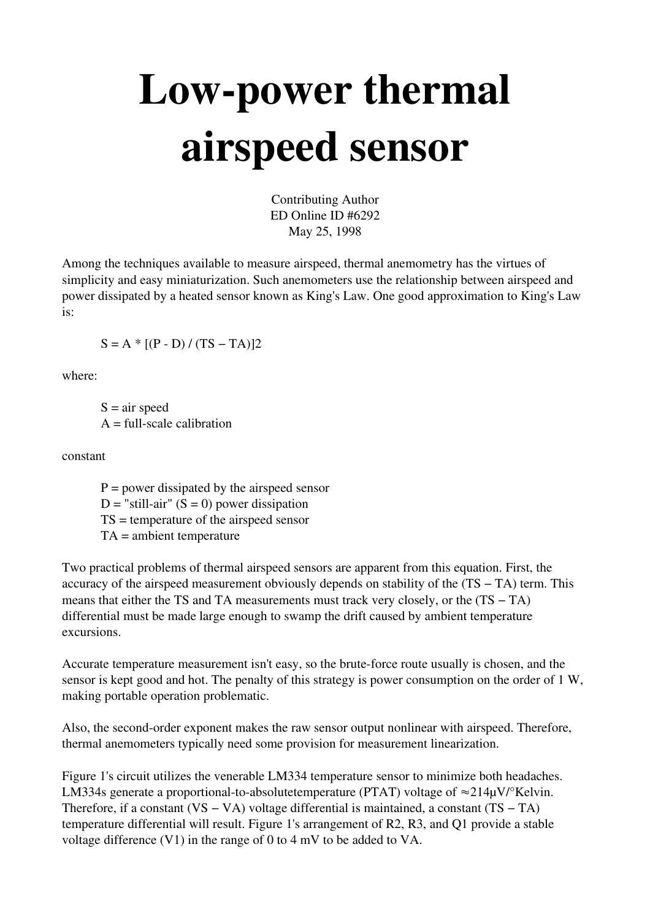## Low-power thermal airspeed sensor

Contributing Author ED Online ID #6292 May 25, 1998

Among the techniques available to measure airspeed, thermal anemometry has the virtues of simplicity and easy miniaturization. Such anemometers use the relationship between airspeed and power dissipated by a heated sensor known as King's Law. One good approximation to King's Law is:

$$
S = A * [(P - D) / (TS - TA)]2
$$

where:

 $S = air$  speed  $A = full-scale calibration$ 

constant

 $P = power dissipated by the air speed sensor$  $D =$ "still-air" (S = 0) power dissipation TS = temperature of the airspeed sensor TA = ambient temperature

Two practical problems of thermal airspeed sensors are apparent from this equation. First, the accuracy of the airspeed measurement obviously depends on stability of the (TS − TA) term. This means that either the TS and TA measurements must track very closely, or the  $(TS - TA)$ differential must be made large enough to swamp the drift caused by ambient temperature excursions.

Accurate temperature measurement isn't easy, so the brute-force route usually is chosen, and the sensor is kept good and hot. The penalty of this strategy is power consumption on the order of 1 W, making portable operation problematic.

Also, the second-order exponent makes the raw sensor output nonlinear with airspeed. Therefore, thermal anemometers typically need some provision for measurement linearization.

Figure 1's circuit utilizes the venerable LM334 temperature sensor to minimize both headaches. LM334s generate a proportional-to-absolutetemperature (PTAT) voltage of  $\approx$ 214 $\mu$ V/°Kelvin. Therefore, if a constant  $(VS - VA)$  voltage differential is maintained, a constant  $(TS - TA)$ temperature differential will result. Figure 1's arrangement of R2, R3, and Q1 provide a stable voltage difference (V1) in the range of 0 to 4 mV to be added to VA.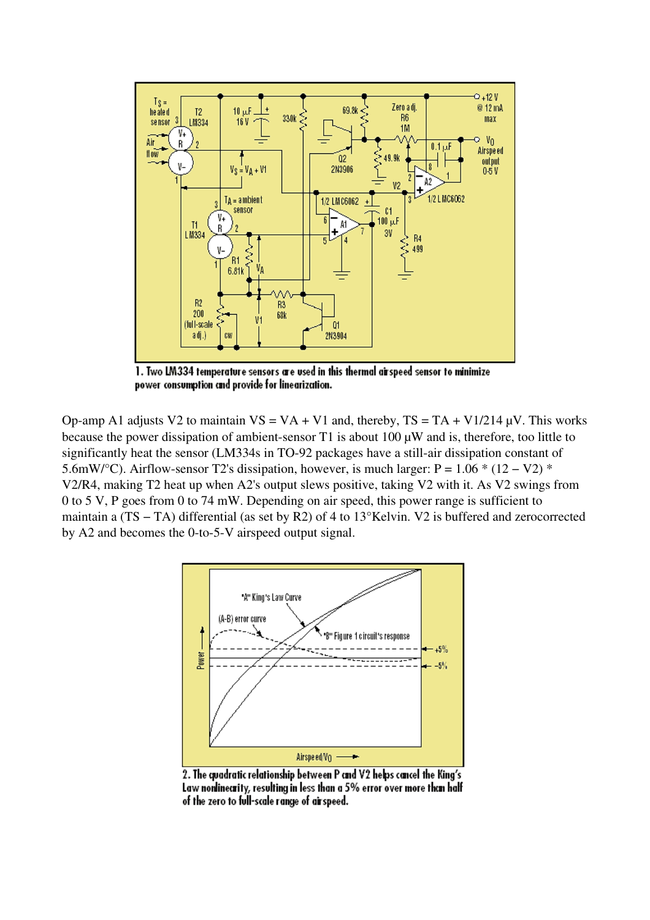

1. Two LM334 temperature sensors are used in this thermal airspeed sensor to minimize power consumption and provide for linearization.

Op-amp A1 adjusts V2 to maintain  $VS = VA + VI$  and, thereby,  $TS = TA + VI/214 \mu V$ . This works because the power dissipation of ambient-sensor  $T1$  is about 100  $\mu$ W and is, therefore, too little to significantly heat the sensor (LM334s in TO-92 packages have a still-air dissipation constant of 5.6mW/°C). Airflow-sensor T2's dissipation, however, is much larger: P =  $1.06 * (12 - V2) *$ V2/R4, making T2 heat up when A2's output slews positive, taking V2 with it. As V2 swings from 0 to 5 V, P goes from 0 to 74 mW. Depending on air speed, this power range is sufficient to maintain a (TS − TA) differential (as set by R2) of 4 to 13°Kelvin. V2 is buffered and zerocorrected by  $A2$  and becomes the 0-to-5-V airspeed output signal.



2. The quadratic relationship between P and V2 helps cancel the King's Law nonlinearity, resulting in less than a 5% error over more than half of the zero to full-scale range of airspeed.